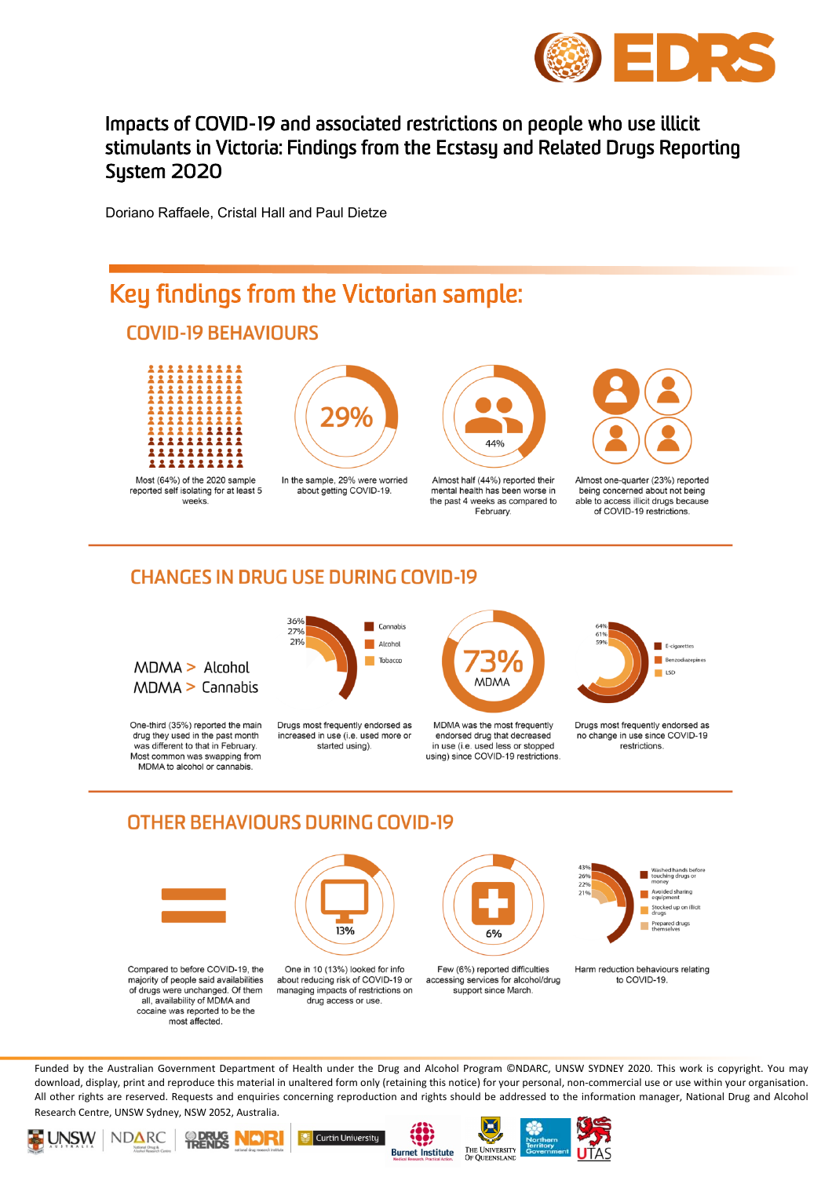

### Impacts of COVID-19 and associated restrictions on people who use illicit stimulants in Victoria: Findings from the Ecstasy and Related Drugs Reporting System 2020

Doriano Raffaele, Cristal Hall and Paul Dietze



#### **CHANGES IN DRUG USE DURING COVID-19**



One-third (35%) reported the main drug they used in the past month was different to that in February. Most common was swapping from MDMA to alcohol or cannabis



Drugs most frequently endorsed as increased in use (i.e. used more or started using).



MDMA was the most frequently endorsed drug that decreased in use (i.e. used less or stopped using) since COVID-19 restrictions



Drugs most frequently endorsed as no change in use since COVID-19 restrictions

### **OTHER BEHAVIOURS DURING COVID-19**



Compared to before COVID-19, the majority of people said availabilities of drugs were unchanged. Of them all, availability of MDMA and cocaine was reported to be the most affected

One in 10 (13%) looked for info about reducing risk of COVID-19 or managing impacts of restrictions on drug access or use

13%



Harm reduction behaviours relating to COVID-19

Vashed hands befor<br>ouching drugs or

Avoided sharing Stocked up on illicit<br>arrays Prepared drugs<br>themselves

Funded by the Australian Government Department of Health under the Drug and Alcohol Program ©NDARC, UNSW SYDNEY 2020. This work is copyright. You may download, display, print and reproduce this material in unaltered form only (retaining this notice) for your personal, non-commercial use or use within your organisation. All other rights are reserved. Requests and enquiries concerning reproduction and rights should be addressed to the information manager, National Drug and Alcohol Research Centre, UNSW Sydney, NSW 2052, Australia.











 $26<sup>o</sup>$ 229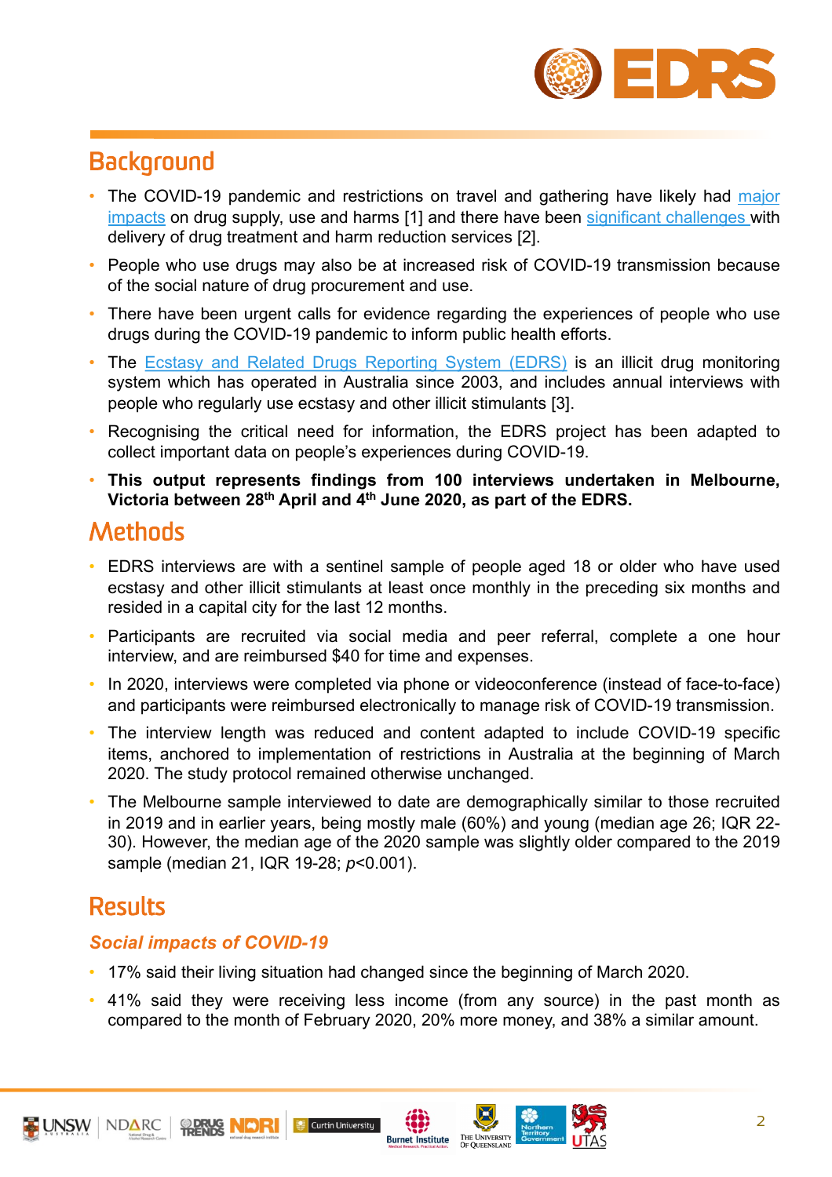

# **Background**

- The COVID-19 pandemic and restrictions on travel and gathering have likely had major impacts on drug supply, use and harms [1] and there have been significant challenges with delivery of drug treatment and harm reduction services [2].
- People who use drugs may also be at increased risk of COVID-19 transmission because of the social nature of drug [procurement](https://onlinelibrary.wiley.com/doi/full/10.1111/dar.13079) and use.
- There have been urgent calls for evidence regarding the experiences of people who use drugs during the COVID-19 pandemic to inform public health efforts.
- The Ecstasy and Related Drugs Reporting System (EDRS) is an illicit drug monitoring system which has operated in Australia since 2003, and includes annual interviews with people who regularly use ecstasy and other illicit stimulants [3].
- Recognising the critical need for [information,](https://ndarc.med.unsw.edu.au/project/ecstasy-and-related-drugs-reporting-system-edrs) the EDRS project has been adapted to collect important data on people's experiences during COVID-19.
- **This output represents findings from 100 interviews undertaken in Melbourne, Victoria between 28th April and 4th June 2020, as part of the EDRS.**

### **Methods**

- EDRS interviews are with a sentinel sample of people aged 18 or older who have used ecstasy and other illicit stimulants at least once monthly in the preceding six months and resided in a capital city for the last 12 months.
- Participants are recruited via social media and peer referral, complete a one hour interview, and are reimbursed \$40 for time and expenses.
- In 2020, interviews were completed via phone or videoconference (instead of face-to-face) and participants were reimbursed electronically to manage risk of COVID-19 transmission.
- The interview length was reduced and content adapted to include COVID-19 specific items, anchored to implementation of restrictions in Australia at the beginning of March 2020. The study protocol remained otherwise unchanged.
- The Melbourne sample interviewed to date are demographically similar to those recruited in 2019 and in earlier years, being mostly male (60%) and young (median age 26; IQR 22- 30). However, the median age of the 2020 sample was slightly older compared to the 2019 sample (median 21, IQR 19-28; *p*<0.001).

## **Results**

#### *Social impacts of COVID-19*

• 17% said their living situation had changed since the beginning of March 2020.

Curtin University

• 41% said they were receiving less income (from any source) in the past month as compared to the month of February 2020, 20% more money, and 38% a similar amount.

**Burnet Institute** 



2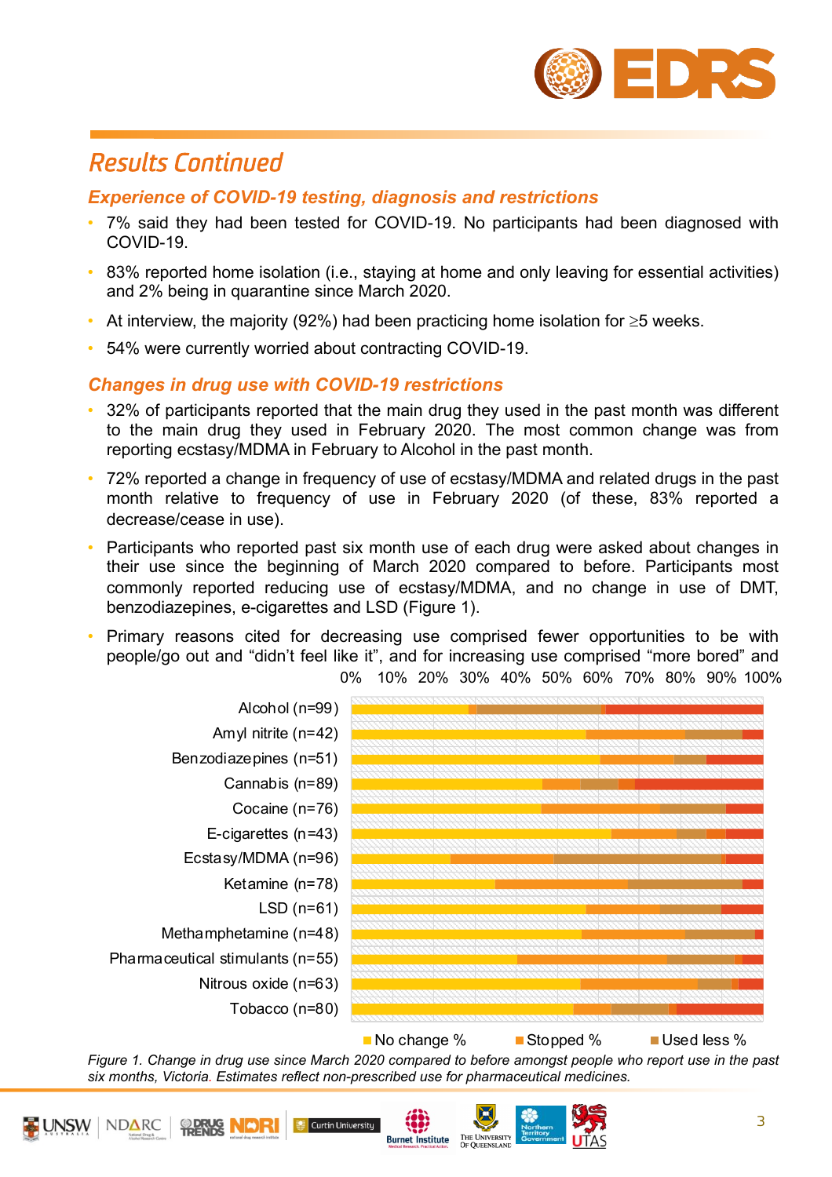

### *Results Continued*

#### *Experience of COVID-19 testing, diagnosis and restrictions*

- 7% said they had been tested for COVID-19. No participants had been diagnosed with COVID-19.
- 83% reported home isolation (i.e., staying at home and only leaving for essential activities) and 2% being in quarantine since March 2020.
- At interview, the majority (92%) had been practicing home isolation for  $\geq 5$  weeks.
- 54% were currently worried about contracting COVID-19.

#### *Changes in drug use with COVID-19 restrictions*

- 32% of participants reported that the main drug they used in the past month was different to the main drug they used in February 2020. The most common change was from reporting ecstasy/MDMA in February to Alcohol in the past month.
- 72% reported a change in frequency of use of ecstasy/MDMA and related drugs in the past month relative to frequency of use in February 2020 (of these, 83% reported a decrease/cease in use).
- Participants who reported past six month use of each drug were asked about changes in their use since the beginning of March 2020 compared to before. Participants most commonly reported reducing use of ecstasy/MDMA, and no change in use of DMT, benzodiazepines, e-cigarettes and LSD (Figure 1).
- Primary reasons cited for decreasing use comprised fewer opportunities to be with people/go out and "didn't feel like it", and for increasing use comprised "more bored" and 0% 10% 20% 30% 40% 50% 60% 70% 80% 90% 100%



Figure 1. Change in drug use since March 2020 compared to before amongst people who report use in the past *six months, Victoria. Estimates reflect non-prescribed use for pharmaceutical medicines.*

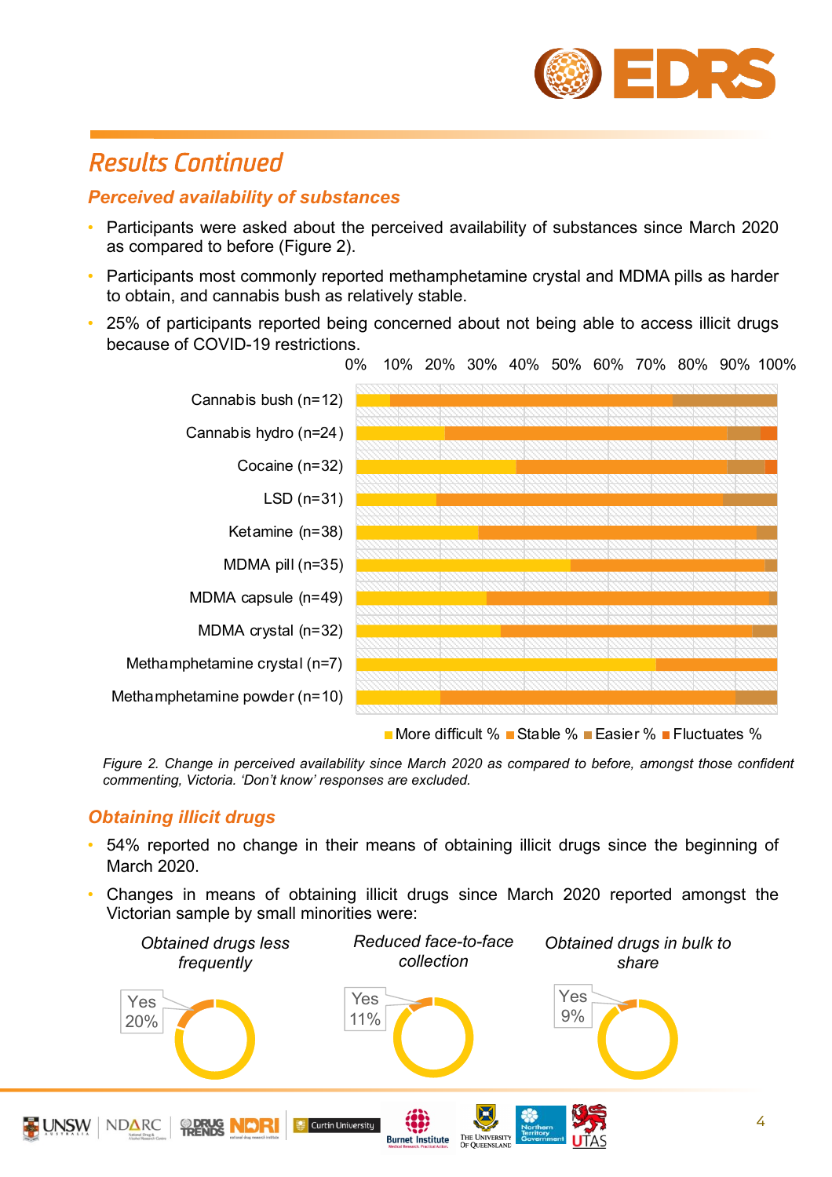

### *Results Continued*

#### *Perceived availability of substances*

- Participants were asked about the perceived availability of substances since March 2020 as compared to before (Figure 2).
- Participants most commonly reported methamphetamine crystal and MDMA pills as harder to obtain, and cannabis bush as relatively stable.
- 25% of participants reported being concerned about not being able to access illicit drugs because of COVID-19 restrictions.



*Figure 2. Change in perceived availability since March 2020 as compared to before, amongst those confident commenting, Victoria. 'Don't know' responses are excluded.*

#### *Obtaining illicit drugs*

- 54% reported no change in their means of obtaining illicit drugs since the beginning of March 2020.
- Changes in means of obtaining illicit drugs since March 2020 reported amongst the Victorian sample by small minorities were:

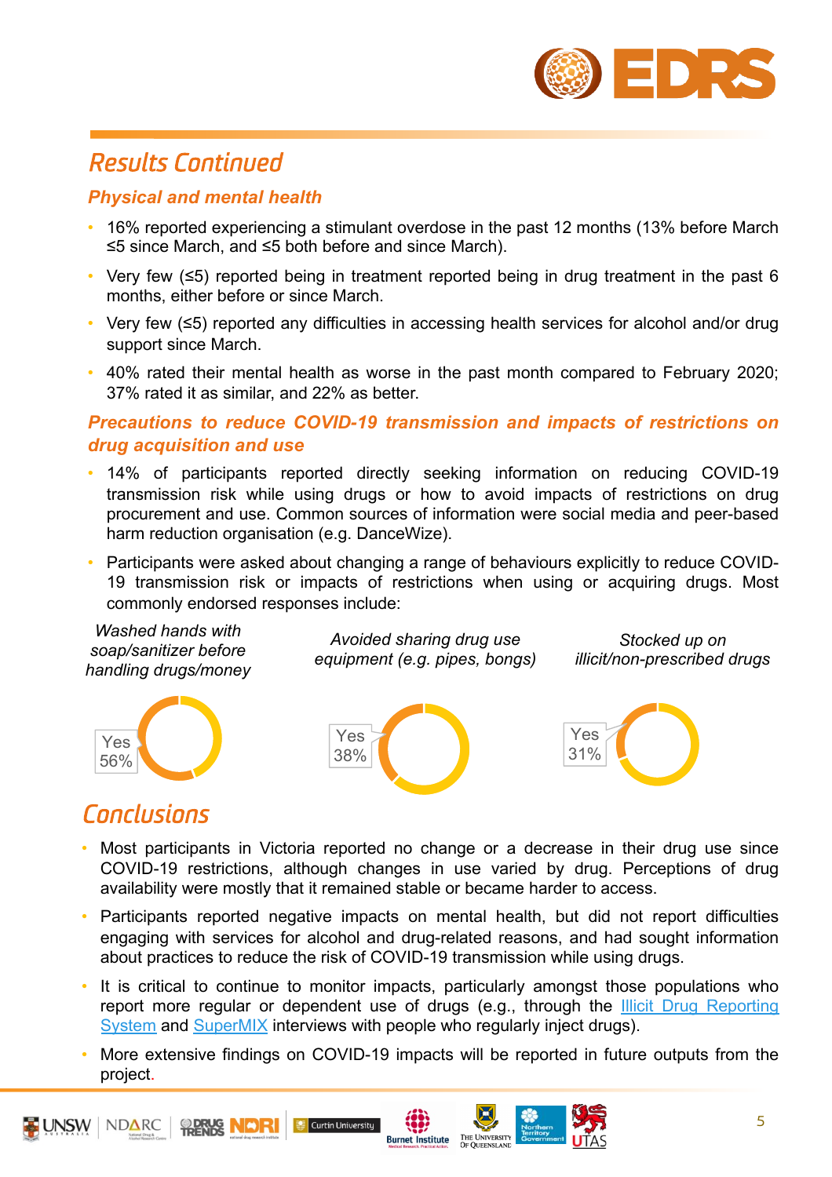

# *Results Continued*

#### *Physical and mental health*

- 16% reported experiencing a stimulant overdose in the past 12 months (13% before March ≤5 since March, and ≤5 both before and since March).
- Very few (≤5) reported being in treatment reported being in drug treatment in the past 6 months, either before or since March.
- Very few (≤5) reported any difficulties in accessing health services for alcohol and/or drug support since March.
- 40% rated their mental health as worse in the past month compared to February 2020; 37% rated it as similar, and 22% as better.

#### *Precautions to reduce COVID-19 transmission and impacts of restrictions on drug acquisition and use*

- 14% of participants reported directly seeking information on reducing COVID-19 transmission risk while using drugs or how to avoid impacts of restrictions on drug procurement and use. Common sources of information were social media and peer-based harm reduction organisation (e.g. DanceWize).
- Participants were asked about changing a range of behaviours explicitly to reduce COVID-19 transmission risk or impacts of restrictions when using or acquiring drugs. Most commonly endorsed responses include:

*Washed hands with soap/sanitizer before handling drugs/money*

*Avoided sharing drug use equipment (e.g. pipes, bongs)*

*Stocked up on illicit/non-prescribed drugs*





## *Conclusions*

- Most participants in Victoria reported no change or a decrease in their drug use since COVID-19 restrictions, although changes in use varied by drug. Perceptions of drug availability were mostly that it remained stable or became harder to access.
- Participants reported negative impacts on mental health, but did not report difficulties engaging with services for alcohol and drug-related reasons, and had sought information about practices to reduce the risk of COVID-19 transmission while using drugs.
- It is critical to continue to monitor impacts, particularly amongst those populations who report more regular or dependent use of drugs (e.g., through the Illicit Drug Reporting System and SuperMIX interviews with people who regularly inject drugs).
- More extensive findings on COVID-19 impacts will be reported in future outputs from the [project.](https://ndarc.med.unsw.edu.au/project/illicit-drug-reporting-system-idrs)

**Burnet Institute** 

THE UNIVERSITY<br>OF OUEENSLAND